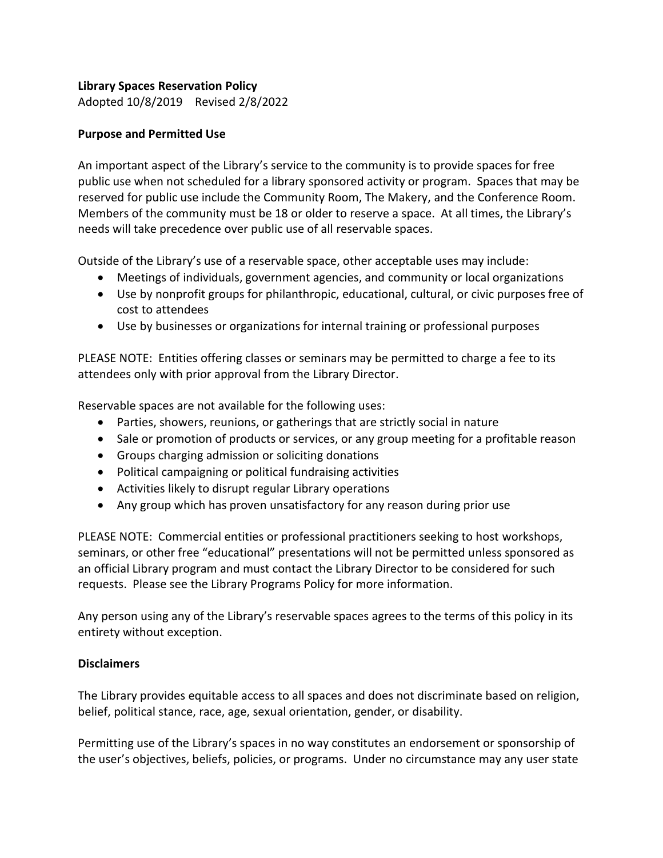# **Library Spaces Reservation Policy**

Adopted 10/8/2019 Revised 2/8/2022

# **Purpose and Permitted Use**

An important aspect of the Library's service to the community is to provide spaces for free public use when not scheduled for a library sponsored activity or program. Spaces that may be reserved for public use include the Community Room, The Makery, and the Conference Room. Members of the community must be 18 or older to reserve a space. At all times, the Library's needs will take precedence over public use of all reservable spaces.

Outside of the Library's use of a reservable space, other acceptable uses may include:

- Meetings of individuals, government agencies, and community or local organizations
- Use by nonprofit groups for philanthropic, educational, cultural, or civic purposes free of cost to attendees
- Use by businesses or organizations for internal training or professional purposes

PLEASE NOTE: Entities offering classes or seminars may be permitted to charge a fee to its attendees only with prior approval from the Library Director.

Reservable spaces are not available for the following uses:

- Parties, showers, reunions, or gatherings that are strictly social in nature
- Sale or promotion of products or services, or any group meeting for a profitable reason
- Groups charging admission or soliciting donations
- Political campaigning or political fundraising activities
- Activities likely to disrupt regular Library operations
- Any group which has proven unsatisfactory for any reason during prior use

PLEASE NOTE: Commercial entities or professional practitioners seeking to host workshops, seminars, or other free "educational" presentations will not be permitted unless sponsored as an official Library program and must contact the Library Director to be considered for such requests. Please see the Library Programs Policy for more information.

Any person using any of the Library's reservable spaces agrees to the terms of this policy in its entirety without exception.

### **Disclaimers**

The Library provides equitable access to all spaces and does not discriminate based on religion, belief, political stance, race, age, sexual orientation, gender, or disability.

Permitting use of the Library's spaces in no way constitutes an endorsement or sponsorship of the user's objectives, beliefs, policies, or programs. Under no circumstance may any user state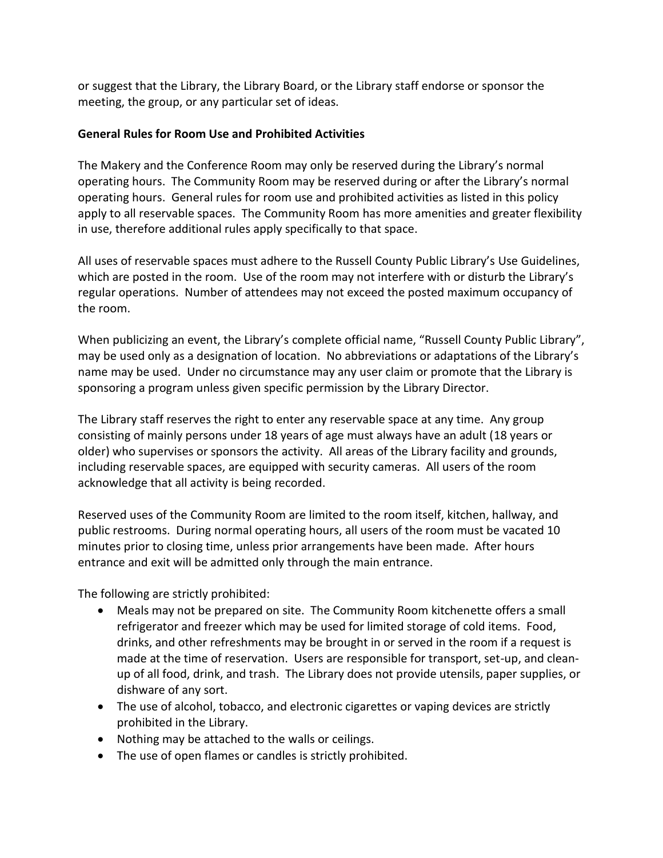or suggest that the Library, the Library Board, or the Library staff endorse or sponsor the meeting, the group, or any particular set of ideas.

# **General Rules for Room Use and Prohibited Activities**

The Makery and the Conference Room may only be reserved during the Library's normal operating hours. The Community Room may be reserved during or after the Library's normal operating hours. General rules for room use and prohibited activities as listed in this policy apply to all reservable spaces. The Community Room has more amenities and greater flexibility in use, therefore additional rules apply specifically to that space.

All uses of reservable spaces must adhere to the Russell County Public Library's Use Guidelines, which are posted in the room. Use of the room may not interfere with or disturb the Library's regular operations. Number of attendees may not exceed the posted maximum occupancy of the room.

When publicizing an event, the Library's complete official name, "Russell County Public Library", may be used only as a designation of location. No abbreviations or adaptations of the Library's name may be used. Under no circumstance may any user claim or promote that the Library is sponsoring a program unless given specific permission by the Library Director.

The Library staff reserves the right to enter any reservable space at any time. Any group consisting of mainly persons under 18 years of age must always have an adult (18 years or older) who supervises or sponsors the activity. All areas of the Library facility and grounds, including reservable spaces, are equipped with security cameras. All users of the room acknowledge that all activity is being recorded.

Reserved uses of the Community Room are limited to the room itself, kitchen, hallway, and public restrooms. During normal operating hours, all users of the room must be vacated 10 minutes prior to closing time, unless prior arrangements have been made. After hours entrance and exit will be admitted only through the main entrance.

The following are strictly prohibited:

- Meals may not be prepared on site. The Community Room kitchenette offers a small refrigerator and freezer which may be used for limited storage of cold items. Food, drinks, and other refreshments may be brought in or served in the room if a request is made at the time of reservation. Users are responsible for transport, set-up, and cleanup of all food, drink, and trash. The Library does not provide utensils, paper supplies, or dishware of any sort.
- The use of alcohol, tobacco, and electronic cigarettes or vaping devices are strictly prohibited in the Library.
- Nothing may be attached to the walls or ceilings.
- The use of open flames or candles is strictly prohibited.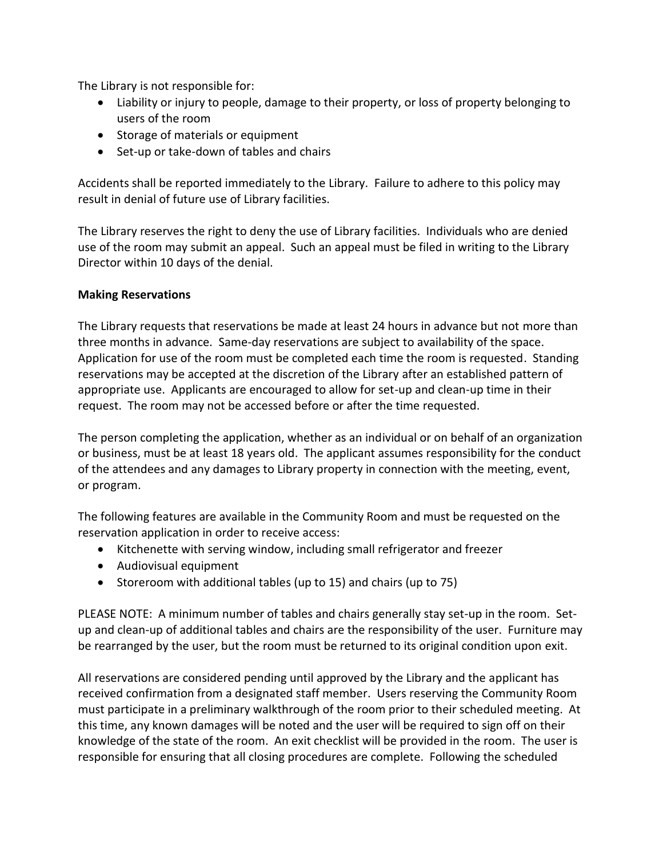The Library is not responsible for:

- Liability or injury to people, damage to their property, or loss of property belonging to users of the room
- Storage of materials or equipment
- Set-up or take-down of tables and chairs

Accidents shall be reported immediately to the Library. Failure to adhere to this policy may result in denial of future use of Library facilities.

The Library reserves the right to deny the use of Library facilities. Individuals who are denied use of the room may submit an appeal. Such an appeal must be filed in writing to the Library Director within 10 days of the denial.

# **Making Reservations**

The Library requests that reservations be made at least 24 hours in advance but not more than three months in advance. Same-day reservations are subject to availability of the space. Application for use of the room must be completed each time the room is requested. Standing reservations may be accepted at the discretion of the Library after an established pattern of appropriate use. Applicants are encouraged to allow for set-up and clean-up time in their request. The room may not be accessed before or after the time requested.

The person completing the application, whether as an individual or on behalf of an organization or business, must be at least 18 years old. The applicant assumes responsibility for the conduct of the attendees and any damages to Library property in connection with the meeting, event, or program.

The following features are available in the Community Room and must be requested on the reservation application in order to receive access:

- Kitchenette with serving window, including small refrigerator and freezer
- Audiovisual equipment
- Storeroom with additional tables (up to 15) and chairs (up to 75)

PLEASE NOTE: A minimum number of tables and chairs generally stay set-up in the room. Setup and clean-up of additional tables and chairs are the responsibility of the user. Furniture may be rearranged by the user, but the room must be returned to its original condition upon exit.

All reservations are considered pending until approved by the Library and the applicant has received confirmation from a designated staff member. Users reserving the Community Room must participate in a preliminary walkthrough of the room prior to their scheduled meeting. At this time, any known damages will be noted and the user will be required to sign off on their knowledge of the state of the room. An exit checklist will be provided in the room. The user is responsible for ensuring that all closing procedures are complete. Following the scheduled